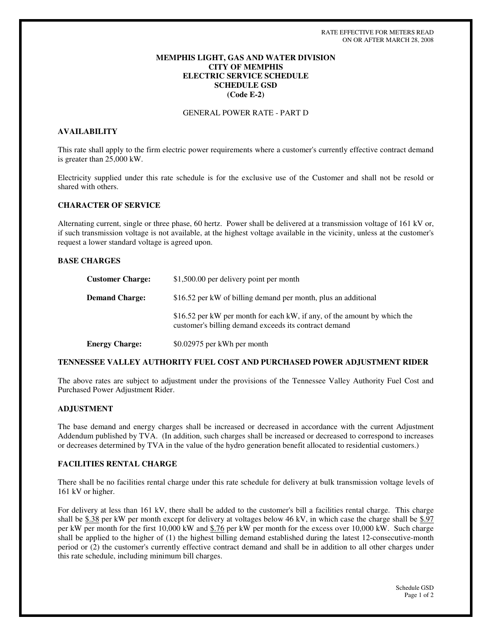# **MEMPHIS LIGHT, GAS AND WATER DIVISION CITY OF MEMPHIS ELECTRIC SERVICE SCHEDULE SCHEDULE GSD (Code E-2)**

# GENERAL POWER RATE - PART D

## **AVAILABILITY**

This rate shall apply to the firm electric power requirements where a customer's currently effective contract demand is greater than 25,000 kW.

Electricity supplied under this rate schedule is for the exclusive use of the Customer and shall not be resold or shared with others.

### **CHARACTER OF SERVICE**

Alternating current, single or three phase, 60 hertz. Power shall be delivered at a transmission voltage of 161 kV or, if such transmission voltage is not available, at the highest voltage available in the vicinity, unless at the customer's request a lower standard voltage is agreed upon.

# **BASE CHARGES**

| <b>Customer Charge:</b> | \$1,500.00 per delivery point per month                                                                                           |
|-------------------------|-----------------------------------------------------------------------------------------------------------------------------------|
| <b>Demand Charge:</b>   | \$16.52 per kW of billing demand per month, plus an additional                                                                    |
|                         | \$16.52 per kW per month for each kW, if any, of the amount by which the<br>customer's billing demand exceeds its contract demand |
| <b>Energy Charge:</b>   | \$0.02975 per kWh per month                                                                                                       |

### **TENNESSEE VALLEY AUTHORITY FUEL COST AND PURCHASED POWER ADJUSTMENT RIDER**

The above rates are subject to adjustment under the provisions of the Tennessee Valley Authority Fuel Cost and Purchased Power Adjustment Rider.

#### **ADJUSTMENT**

The base demand and energy charges shall be increased or decreased in accordance with the current Adjustment Addendum published by TVA. (In addition, such charges shall be increased or decreased to correspond to increases or decreases determined by TVA in the value of the hydro generation benefit allocated to residential customers.)

# **FACILITIES RENTAL CHARGE**

There shall be no facilities rental charge under this rate schedule for delivery at bulk transmission voltage levels of 161 kV or higher.

For delivery at less than 161 kV, there shall be added to the customer's bill a facilities rental charge. This charge shall be \$.38 per kW per month except for delivery at voltages below 46 kV, in which case the charge shall be \$.97 per kW per month for the first 10,000 kW and \$.76 per kW per month for the excess over 10,000 kW. Such charge shall be applied to the higher of (1) the highest billing demand established during the latest 12-consecutive-month period or (2) the customer's currently effective contract demand and shall be in addition to all other charges under this rate schedule, including minimum bill charges.